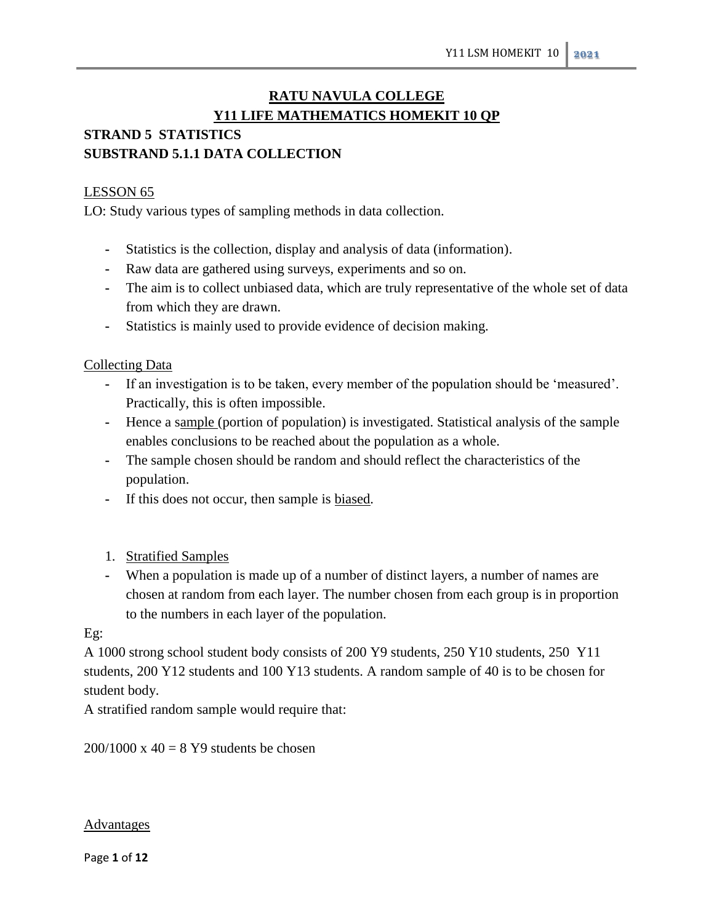# **RATU NAVULA COLLEGE Y11 LIFE MATHEMATICS HOMEKIT 10 QP STRAND 5 STATISTICS**

# **SUBSTRAND 5.1.1 DATA COLLECTION**

# LESSON 65

LO: Study various types of sampling methods in data collection.

- **-** Statistics is the collection, display and analysis of data (information).
- **-** Raw data are gathered using surveys, experiments and so on.
- **-** The aim is to collect unbiased data, which are truly representative of the whole set of data from which they are drawn.
- **-** Statistics is mainly used to provide evidence of decision making.

# Collecting Data

- **-** If an investigation is to be taken, every member of the population should be 'measured'. Practically, this is often impossible.
- **-** Hence a sample (portion of population) is investigated. Statistical analysis of the sample enables conclusions to be reached about the population as a whole.
- **-** The sample chosen should be random and should reflect the characteristics of the population.
- **-** If this does not occur, then sample is biased.
- 1. Stratified Samples
- **-** When a population is made up of a number of distinct layers, a number of names are chosen at random from each layer. The number chosen from each group is in proportion to the numbers in each layer of the population.

## Eg:

A 1000 strong school student body consists of 200 Y9 students, 250 Y10 students, 250 Y11 students, 200 Y12 students and 100 Y13 students. A random sample of 40 is to be chosen for student body.

A stratified random sample would require that:

 $200/1000 \times 40 = 8$  Y9 students be chosen

## **Advantages**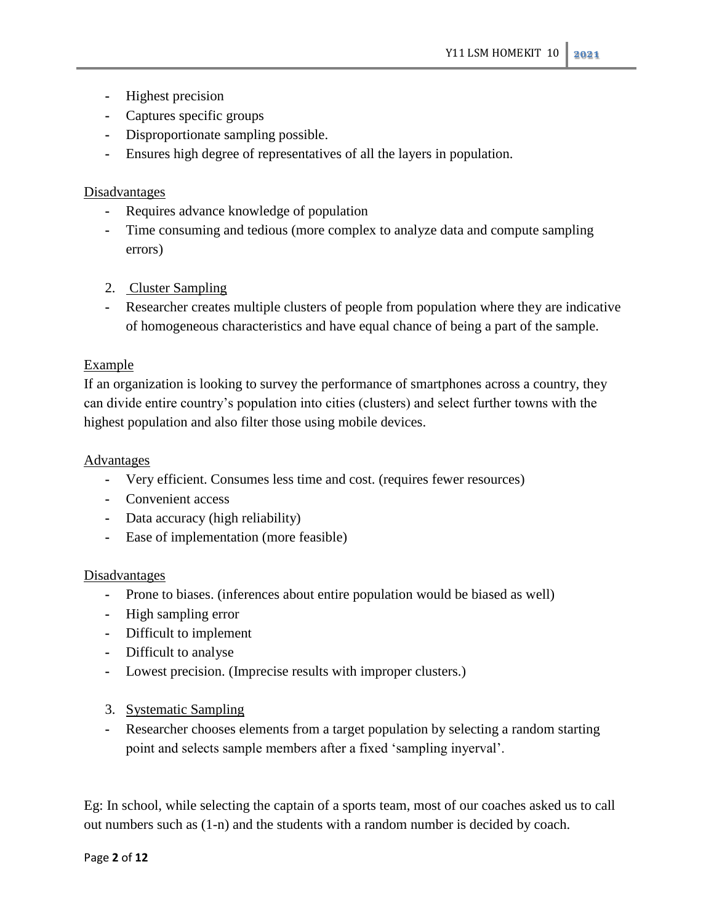- **-** Highest precision
- **-** Captures specific groups
- **-** Disproportionate sampling possible.
- **-** Ensures high degree of representatives of all the layers in population.

## **Disadvantages**

- **-** Requires advance knowledge of population
- **-** Time consuming and tedious (more complex to analyze data and compute sampling errors)
- 2. Cluster Sampling
- **-** Researcher creates multiple clusters of people from population where they are indicative of homogeneous characteristics and have equal chance of being a part of the sample.

## Example

If an organization is looking to survey the performance of smartphones across a country, they can divide entire country's population into cities (clusters) and select further towns with the highest population and also filter those using mobile devices.

## **Advantages**

- **-** Very efficient. Consumes less time and cost. (requires fewer resources)
- **-** Convenient access
- **-** Data accuracy (high reliability)
- **-** Ease of implementation (more feasible)

## **Disadvantages**

- **-** Prone to biases. (inferences about entire population would be biased as well)
- **-** High sampling error
- **-** Difficult to implement
- **-** Difficult to analyse
- **-** Lowest precision. (Imprecise results with improper clusters.)
- 3. Systematic Sampling
- **-** Researcher chooses elements from a target population by selecting a random starting point and selects sample members after a fixed 'sampling inyerval'.

Eg: In school, while selecting the captain of a sports team, most of our coaches asked us to call out numbers such as (1-n) and the students with a random number is decided by coach.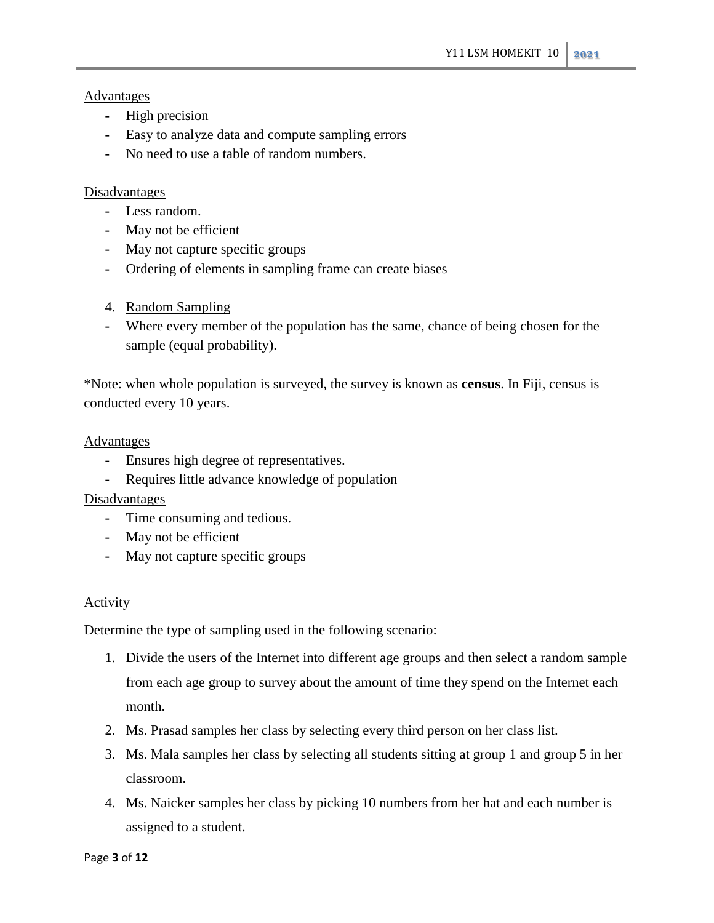## Advantages

- **-** High precision
- **-** Easy to analyze data and compute sampling errors
- **-** No need to use a table of random numbers.

#### Disadvantages

- **-** Less random.
- **-** May not be efficient
- **-** May not capture specific groups
- **-** Ordering of elements in sampling frame can create biases
- 4. Random Sampling
- **-** Where every member of the population has the same, chance of being chosen for the sample (equal probability).

\*Note: when whole population is surveyed, the survey is known as **census**. In Fiji, census is conducted every 10 years.

#### Advantages

- **-** Ensures high degree of representatives.
- **-** Requires little advance knowledge of population

## **Disadvantages**

- **-** Time consuming and tedious.
- **-** May not be efficient
- **-** May not capture specific groups

## Activity

Determine the type of sampling used in the following scenario:

- 1. Divide the users of the Internet into different age groups and then select a random sample from each age group to survey about the amount of time they spend on the Internet each month.
- 2. Ms. Prasad samples her class by selecting every third person on her class list.
- 3. Ms. Mala samples her class by selecting all students sitting at group 1 and group 5 in her classroom.
- 4. Ms. Naicker samples her class by picking 10 numbers from her hat and each number is assigned to a student.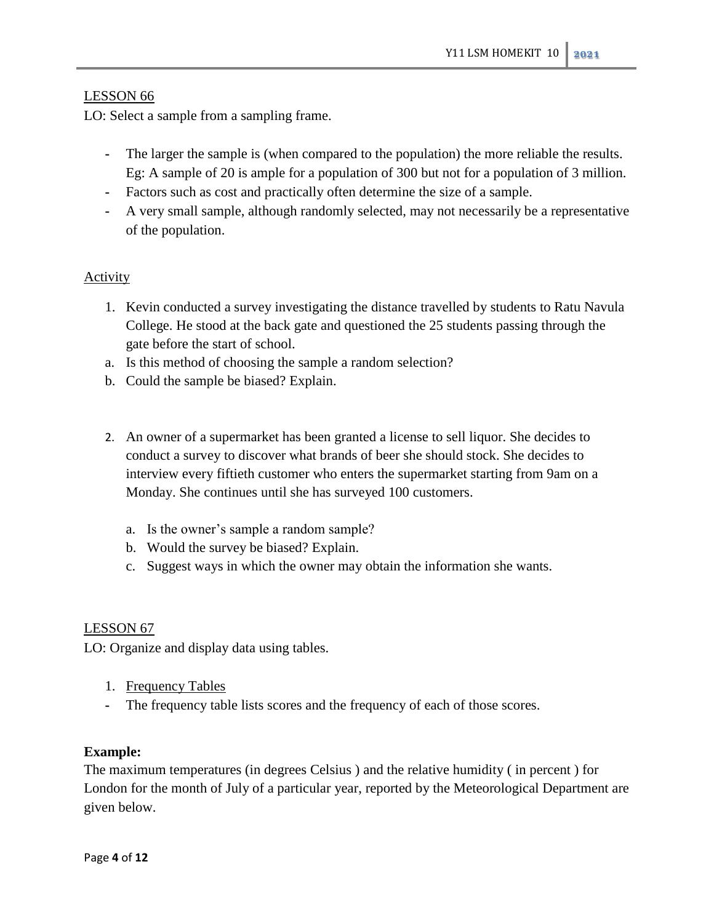## LESSON 66

LO: Select a sample from a sampling frame.

- **-** The larger the sample is (when compared to the population) the more reliable the results. Eg: A sample of 20 is ample for a population of 300 but not for a population of 3 million.
- **-** Factors such as cost and practically often determine the size of a sample.
- **-** A very small sample, although randomly selected, may not necessarily be a representative of the population.

## Activity

- 1. Kevin conducted a survey investigating the distance travelled by students to Ratu Navula College. He stood at the back gate and questioned the 25 students passing through the gate before the start of school.
- a. Is this method of choosing the sample a random selection?
- b. Could the sample be biased? Explain.
- 2. An owner of a supermarket has been granted a license to sell liquor. She decides to conduct a survey to discover what brands of beer she should stock. She decides to interview every fiftieth customer who enters the supermarket starting from 9am on a Monday. She continues until she has surveyed 100 customers.
	- a. Is the owner's sample a random sample?
	- b. Would the survey be biased? Explain.
	- c. Suggest ways in which the owner may obtain the information she wants.

## LESSON 67

LO: Organize and display data using tables.

- 1. Frequency Tables
- **-** The frequency table lists scores and the frequency of each of those scores.

## **Example:**

The maximum temperatures (in degrees Celsius ) and the relative humidity ( in percent ) for London for the month of July of a particular year, reported by the Meteorological Department are given below.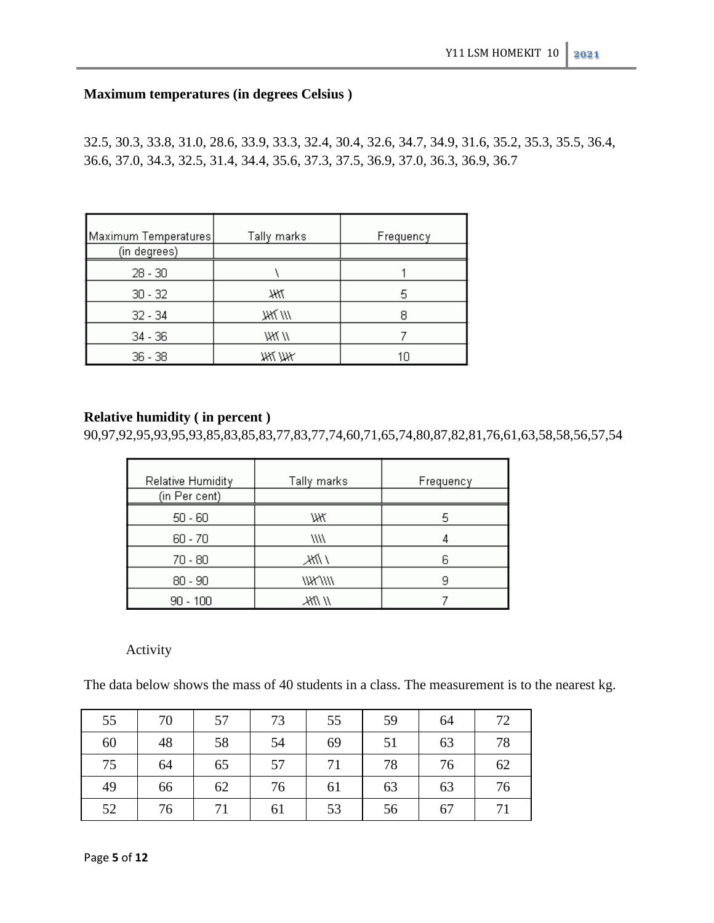# **Maximum temperatures (in degrees Celsius )**

32.5, 30.3, 33.8, 31.0, 28.6, 33.9, 33.3, 32.4, 30.4, 32.6, 34.7, 34.9, 31.6, 35.2, 35.3, 35.5, 36.4, 36.6, 37.0, 34.3, 32.5, 31.4, 34.4, 35.6, 37.3, 37.5, 36.9, 37.0, 36.3, 36.9, 36.7

| Maximum Temperatures | Tally marks | Frequency |
|----------------------|-------------|-----------|
| (in degrees)         |             |           |
| $28 - 30$            |             |           |
| $30 - 32$            | Ж           | 5         |
| $32 - 34$            | /// 7KK     |           |
| $34 - 36$            | 78X //      |           |
| $36 - 38$            | жі уж       |           |

## **Relative humidity ( in percent )**

90,97,92,95,93,95,93,85,83,85,83,77,83,77,74,60,71,65,74,80,87,82,81,76,61,63,58,58,56,57,54

| Relative Humidity<br>(in Per cent) | Tally marks | Frequency |
|------------------------------------|-------------|-----------|
| $50 - 60$                          | WΚ          | 5         |
| $60 - 70$                          | WW          |           |
| $70 - 80$                          | / MK        |           |
| $80 - 90$                          | /////////   |           |
| $90 - 100$                         | // ///K.    |           |

## Activity

The data below shows the mass of 40 students in a class. The measurement is to the nearest kg.

| 55 | 70 | 57 | 73 | 55 | 59 | 64 | 72 |
|----|----|----|----|----|----|----|----|
| 60 | 48 | 58 | 54 | 69 | 51 | 63 | 78 |
| 75 | 64 | 65 | 57 | 71 | 78 | 76 | 62 |
| 49 | 66 | 62 | 76 | 61 | 63 | 63 | 76 |
| 52 | 76 | 71 | 61 | 53 | 56 | 67 | 71 |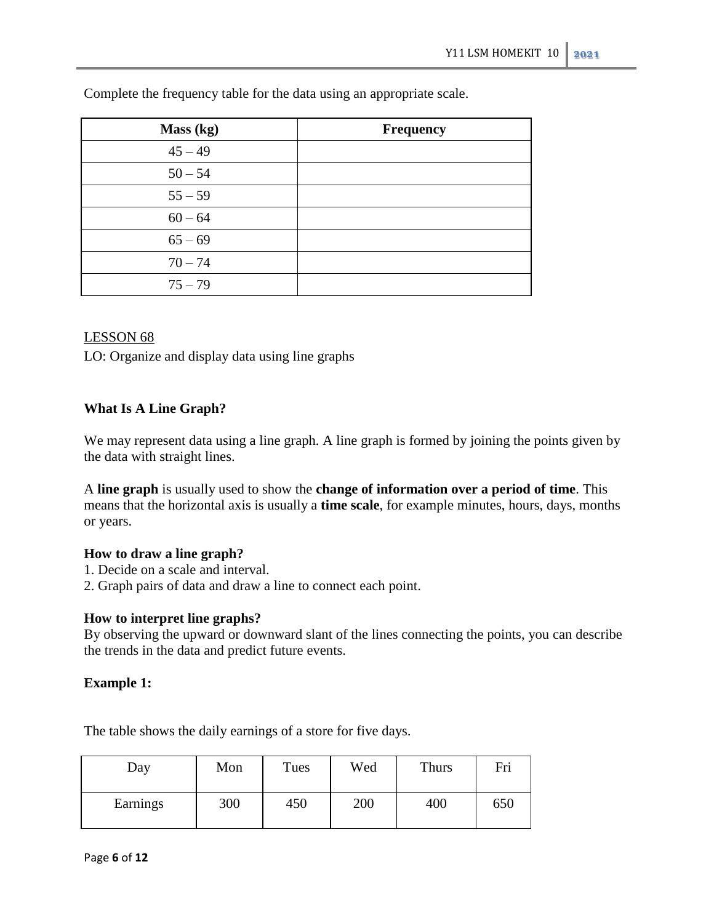| Mass (kg) | <b>Frequency</b> |
|-----------|------------------|
| $45 - 49$ |                  |
| $50 - 54$ |                  |
| $55 - 59$ |                  |
| $60 - 64$ |                  |
| $65 - 69$ |                  |
| $70 - 74$ |                  |
| $75 - 79$ |                  |

Complete the frequency table for the data using an appropriate scale.

## LESSON 68

LO: Organize and display data using line graphs

## **What Is A Line Graph?**

We may represent data using a line graph. A line graph is formed by joining the points given by the data with straight lines.

A **line graph** is usually used to show the **change of information over a period of time**. This means that the horizontal axis is usually a **time scale**, for example minutes, hours, days, months or years.

## **How to draw a line graph?**

- 1. Decide on a scale and interval.
- 2. Graph pairs of data and draw a line to connect each point.

## **How to interpret line graphs?**

By observing the upward or downward slant of the lines connecting the points, you can describe the trends in the data and predict future events.

## **Example 1:**

The table shows the daily earnings of a store for five days.

| Day      | Mon | Tues | Wed | Thurs | Fri |
|----------|-----|------|-----|-------|-----|
| Earnings | 300 | 450  | 200 | 400   | 650 |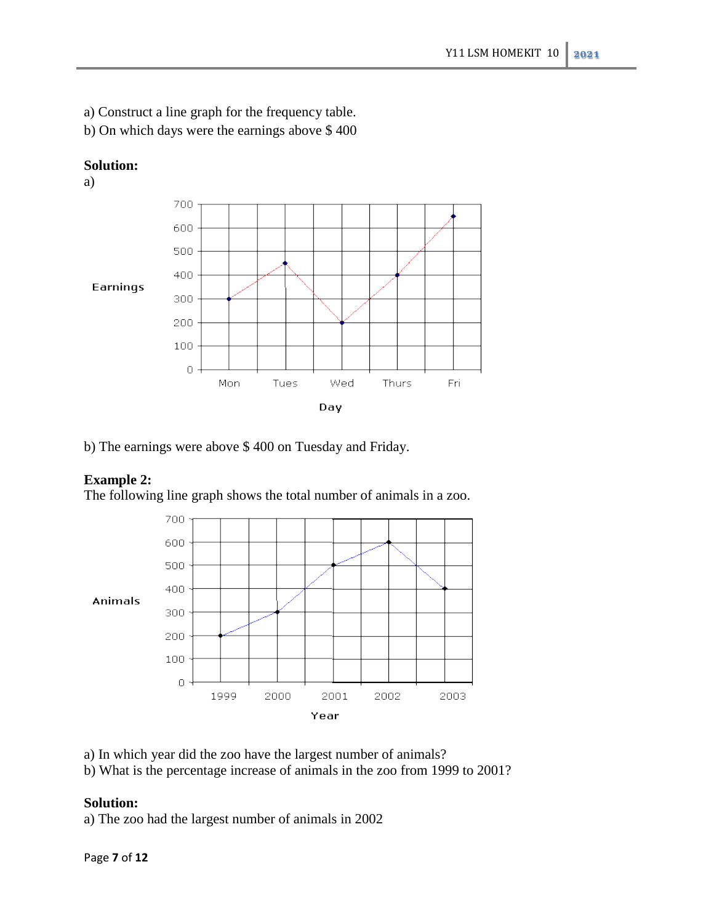- a) Construct a line graph for the frequency table.
- b) On which days were the earnings above \$ 400



b) The earnings were above \$ 400 on Tuesday and Friday.

# **Example 2:**

**Solution:**

The following line graph shows the total number of animals in a zoo.



- a) In which year did the zoo have the largest number of animals?
- b) What is the percentage increase of animals in the zoo from 1999 to 2001?

## **Solution:**

a) The zoo had the largest number of animals in 2002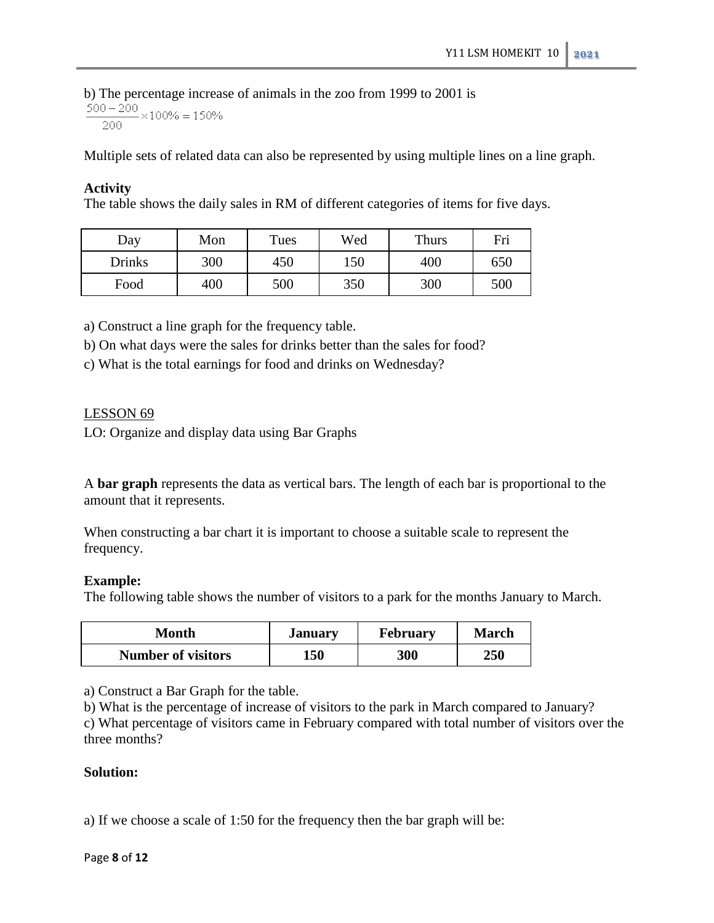b) The percentage increase of animals in the zoo from 1999 to 2001 is  $\frac{500-200}{200} \times 100\% = 150\%$ 

Multiple sets of related data can also be represented by using multiple lines on a line graph.

#### **Activity**

The table shows the daily sales in RM of different categories of items for five days.

| Day    | Mon | Tues | Wed        | Thurs | Fri |     |
|--------|-----|------|------------|-------|-----|-----|
| Drinks | 300 |      | 150<br>450 |       | 400 | 650 |
| Food   | 400 | 500  | 350        | 300   | 500 |     |

a) Construct a line graph for the frequency table.

b) On what days were the sales for drinks better than the sales for food?

c) What is the total earnings for food and drinks on Wednesday?

#### LESSON 69

LO: Organize and display data using Bar Graphs

A **bar graph** represents the data as vertical bars. The length of each bar is proportional to the amount that it represents.

When constructing a bar chart it is important to choose a suitable scale to represent the frequency.

#### **Example:**

The following table shows the number of visitors to a park for the months January to March.

| Month                     | <b>January</b> | <b>February</b> | <b>March</b> |  |
|---------------------------|----------------|-----------------|--------------|--|
| <b>Number of visitors</b> | 150            | 300             | 250          |  |

a) Construct a Bar Graph for the table.

b) What is the percentage of increase of visitors to the park in March compared to January?

c) What percentage of visitors came in February compared with total number of visitors over the three months?

## **Solution:**

a) If we choose a scale of 1:50 for the frequency then the bar graph will be: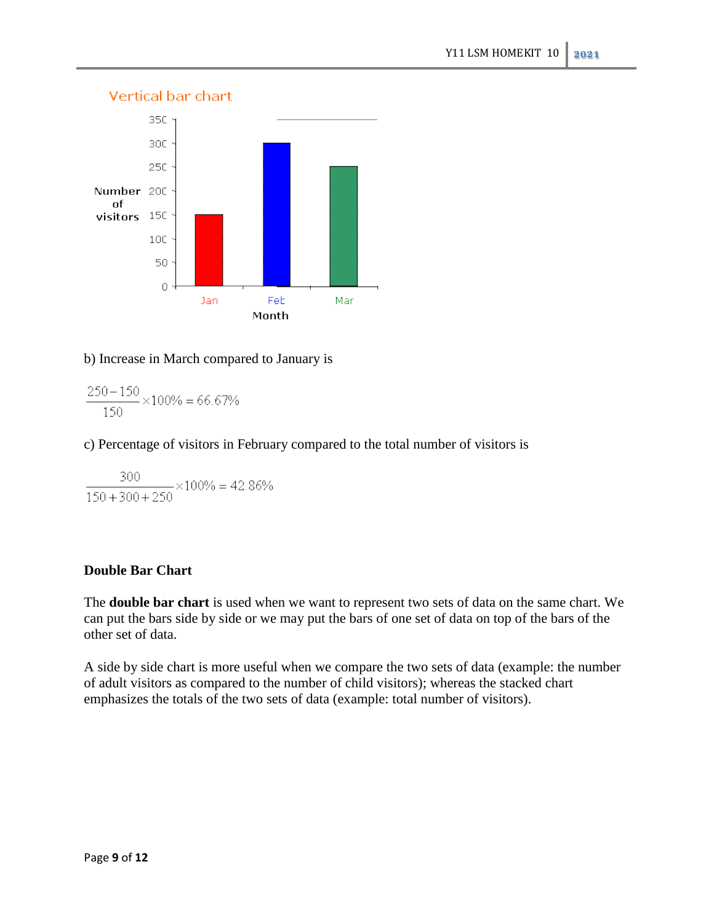

## b) Increase in March compared to January is

 $\frac{250-150}{150} \times 100 \% = 66.67 \%$ 

## c) Percentage of visitors in February compared to the total number of visitors is

 $\frac{300}{150+300+250} \times 100\% = 42.86\%$ 

## **Double Bar Chart**

The **double bar chart** is used when we want to represent two sets of data on the same chart. We can put the bars side by side or we may put the bars of one set of data on top of the bars of the other set of data.

A side by side chart is more useful when we compare the two sets of data (example: the number of adult visitors as compared to the number of child visitors); whereas the stacked chart emphasizes the totals of the two sets of data (example: total number of visitors).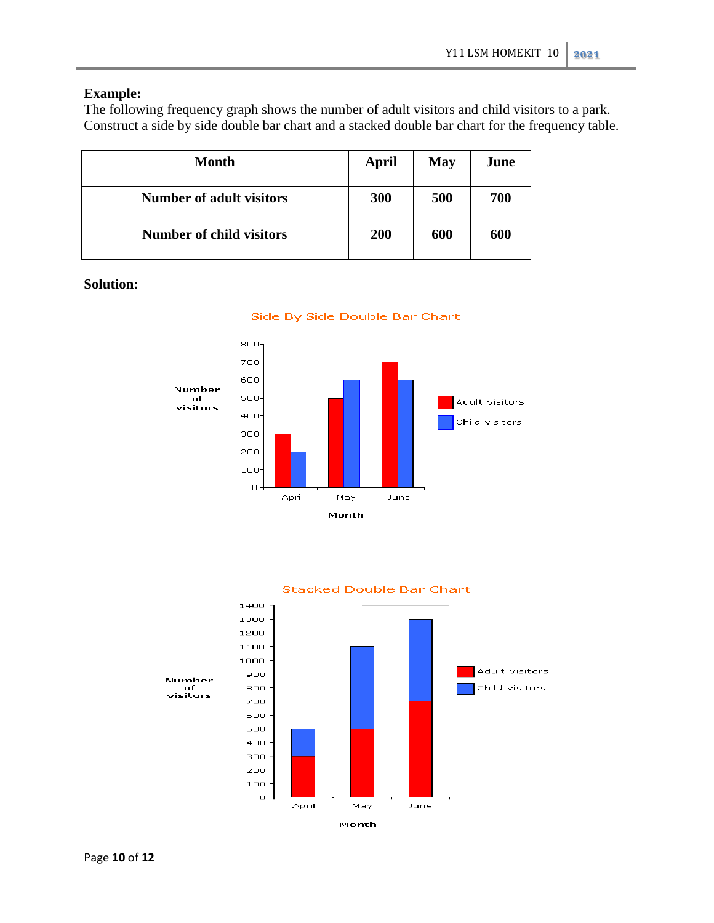## **Example:**

The following frequency graph shows the number of adult visitors and child visitors to a park. Construct a side by side double bar chart and a stacked double bar chart for the frequency table.

| Month                           | <b>April</b> | <b>May</b> | June |
|---------------------------------|--------------|------------|------|
| <b>Number of adult visitors</b> | 300          | 500        | 700  |
| <b>Number of child visitors</b> | 200          | 600        | 600  |

**Solution:**







#### **Stacked Double Bar Chart**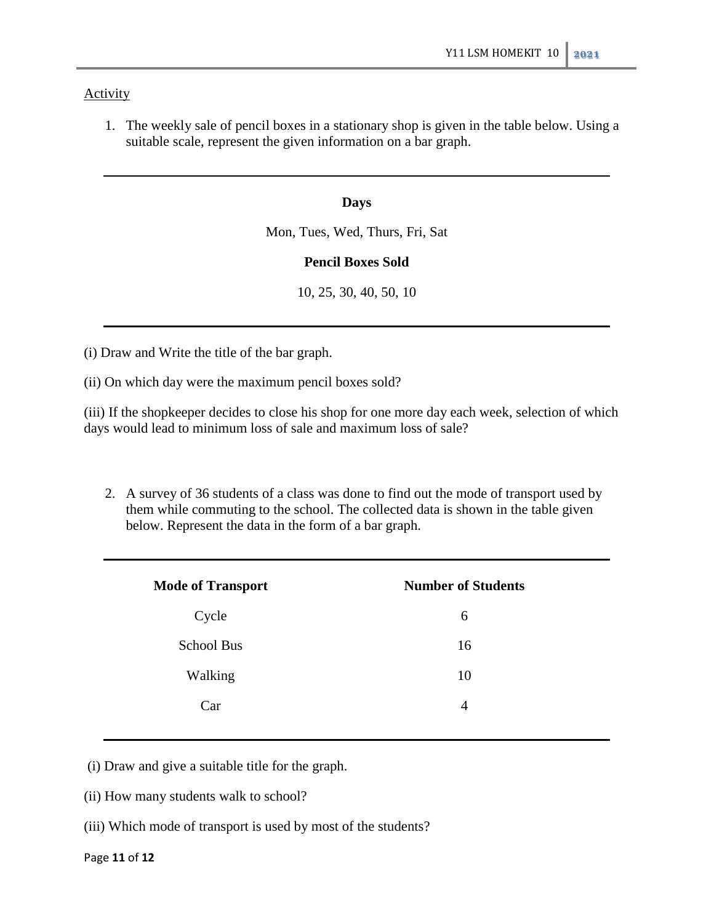## Activity

1. The weekly sale of pencil boxes in a stationary shop is given in the table below. Using a suitable scale, represent the given information on a bar graph.

#### **Days**

Mon, Tues, Wed, Thurs, Fri, Sat

### **Pencil Boxes Sold**

10, 25, 30, 40, 50, 10

(i) Draw and Write the title of the bar graph.

(ii) On which day were the maximum pencil boxes sold?

(iii) If the shopkeeper decides to close his shop for one more day each week, selection of which days would lead to minimum loss of sale and maximum loss of sale?

2. A survey of 36 students of a class was done to find out the mode of transport used by them while commuting to the school. The collected data is shown in the table given below. Represent the data in the form of a bar graph.

| <b>Mode of Transport</b> | <b>Number of Students</b> |
|--------------------------|---------------------------|
| Cycle                    | 6                         |
| <b>School Bus</b>        | 16                        |
| Walking                  | 10                        |
| Car                      | 4                         |

(i) Draw and give a suitable title for the graph.

(ii) How many students walk to school?

(iii) Which mode of transport is used by most of the students?

#### Page **11** of **12**